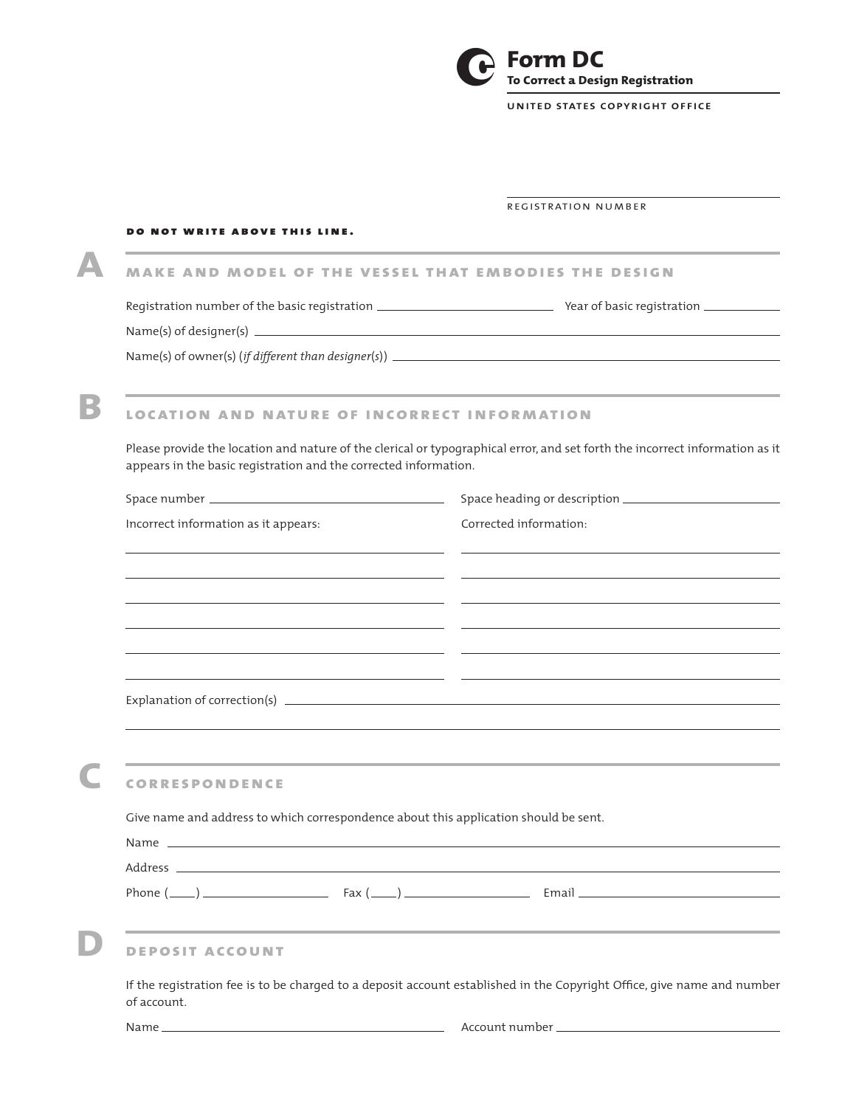

**united states copyright office**

## registration number

## DO NOT WRITE ABOVE THIS LINE.

 **A make and model of the vessel that embodies the design**

Registration number of the basic registration \_\_\_\_\_\_\_\_\_\_\_\_\_\_\_\_\_\_\_\_\_\_\_\_\_\_\_\_\_\_\_\_\_\_\_ Year of basic registration \_\_\_\_\_\_\_\_\_\_\_\_\_

Name(s) of designer(s)

Name(s) of owner(s) (*if different than designer*(*s*) )

# **B location and nature of incorrect information**

Please provide the location and nature of the clerical or typographical error, and set forth the incorrect information as it appears in the basic registration and the corrected information.

| Incorrect information as it appears:                                                 | Corrected information:                                                                                                  |
|--------------------------------------------------------------------------------------|-------------------------------------------------------------------------------------------------------------------------|
|                                                                                      | the control of the control of the control of the control of the control of the control of                               |
|                                                                                      | <u> 1999 - Andrea Santana, Amerikaansk politiker (d. 1989)</u>                                                          |
|                                                                                      | <u> 1989 - Andrea Santana, Amerikaansk politiker (d. 1989)</u>                                                          |
|                                                                                      | <u> 1990 - Jan James Alexandro III, martxoar eta idazleari (h. 1905).</u>                                               |
|                                                                                      |                                                                                                                         |
|                                                                                      | ,我们也不会有什么?""我们的人,我们也不会有什么?""我们的人,我们也不会有什么?""我们的人,我们也不会有什么?""我们的人,我们也不会有什么?""我们的人                                        |
| <b>CORRESPONDENCE</b>                                                                |                                                                                                                         |
| Give name and address to which correspondence about this application should be sent. |                                                                                                                         |
|                                                                                      |                                                                                                                         |
|                                                                                      |                                                                                                                         |
|                                                                                      | Phone $(\_\_)$ $\_\_$ Fax $(\_\_)$ $\_\_$ Email $\_\_$                                                                  |
| <b>DEPOSIT ACCOUNT</b>                                                               | <u> 1989 - Jan Samuel Barbara, margaret a shekara ta 1989 - An tsara tsara tsara tsa a shekara tsa a shekara tsa</u>    |
| of account.                                                                          | If the registration fee is to be charged to a deposit account established in the Copyright Office, give name and number |

Name Account number